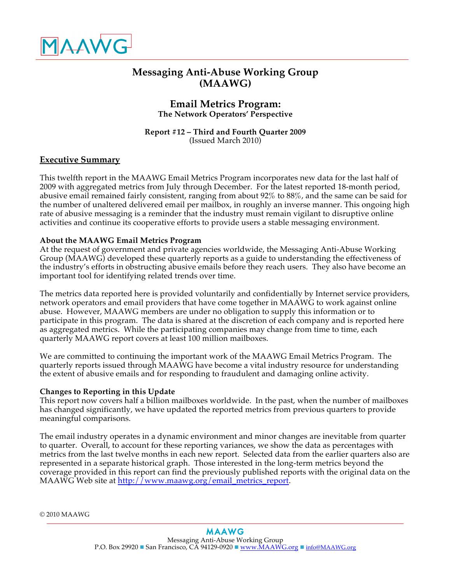

# **Messaging Anti-Abuse Working Group (MAAWG)**

# **Email Metrics Program: The Network Operators' Perspective**

#### **Report #12 – Third and Fourth Quarter 2009** (Issued March 2010)

# **Executive Summary**

This twelfth report in the MAAWG Email Metrics Program incorporates new data for the last half of 2009 with aggregated metrics from July through December. For the latest reported 18-month period, abusive email remained fairly consistent, ranging from about 92% to 88%, and the same can be said for the number of unaltered delivered email per mailbox, in roughly an inverse manner. This ongoing high rate of abusive messaging is a reminder that the industry must remain vigilant to disruptive online activities and continue its cooperative efforts to provide users a stable messaging environment.

### **About the MAAWG Email Metrics Program**

At the request of government and private agencies worldwide, the Messaging Anti-Abuse Working Group (MAAWG) developed these quarterly reports as a guide to understanding the effectiveness of the industry's efforts in obstructing abusive emails before they reach users. They also have become an important tool for identifying related trends over time.

The metrics data reported here is provided voluntarily and confidentially by Internet service providers, network operators and email providers that have come together in MAAWG to work against online abuse. However, MAAWG members are under no obligation to supply this information or to participate in this program. The data is shared at the discretion of each company and is reported here as aggregated metrics. While the participating companies may change from time to time, each quarterly MAAWG report covers at least 100 million mailboxes.

We are committed to continuing the important work of the MAAWG Email Metrics Program. The quarterly reports issued through MAAWG have become a vital industry resource for understanding the extent of abusive emails and for responding to fraudulent and damaging online activity.

#### **Changes to Reporting in this Update**

This report now covers half a billion mailboxes worldwide. In the past, when the number of mailboxes has changed significantly, we have updated the reported metrics from previous quarters to provide meaningful comparisons.

The email industry operates in a dynamic environment and minor changes are inevitable from quarter to quarter. Overall, to account for these reporting variances, we show the data as percentages with metrics from the last twelve months in each new report. Selected data from the earlier quarters also are represented in a separate historical graph. Those interested in the long-term metrics beyond the coverage provided in this report can find the previously published reports with the original data on the MAAWG Web site at http://www.maawg.org/email\_metrics\_report.

© 2010 MAAWG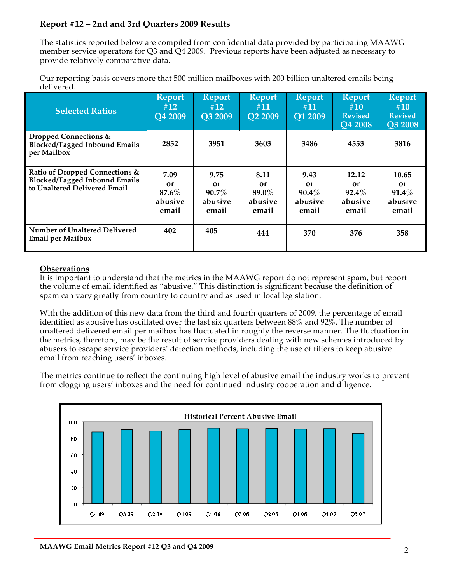# **Report #12 – 2nd and 3rd Quarters 2009 Results**

The statistics reported below are compiled from confidential data provided by participating MAAWG member service operators for Q3 and Q4 2009. Previous reports have been adjusted as necessary to provide relatively comparative data.

Our reporting basis covers more that 500 million mailboxes with 200 billion unaltered emails being delivered.

| <b>Selected Ratios</b>                                                                                 | <b>Report</b><br>#12<br><b>O4 2009</b>     | <b>Report</b><br>#12<br>O3 2009            | <b>Report</b><br>#11<br><b>Q2 2009</b>  | <b>Report</b><br>#11<br>Q1 2009            | <b>Report</b><br>#10<br><b>Revised</b><br><b>Q4 2008</b> | <b>Report</b><br>#10<br><b>Revised</b><br>Q3 2008 |
|--------------------------------------------------------------------------------------------------------|--------------------------------------------|--------------------------------------------|-----------------------------------------|--------------------------------------------|----------------------------------------------------------|---------------------------------------------------|
| Dropped Connections &<br><b>Blocked/Tagged Inbound Emails</b><br>per Mailbox                           | 2852                                       | 3951                                       | 3603                                    | 3486                                       | 4553                                                     | 3816                                              |
| Ratio of Dropped Connections &<br><b>Blocked/Tagged Inbound Emails</b><br>to Unaltered Delivered Email | 7.09<br>or<br>$87.6\%$<br>abusive<br>email | 9.75<br>or<br>$90.7\%$<br>abusive<br>email | 8.11<br>or<br>89.0%<br>abusive<br>email | 9.43<br>or<br>$90.4\%$<br>abusive<br>email | 12.12<br>or<br>$92.4\%$<br>abusive<br>email              | 10.65<br>or<br>$91.4\%$<br>abusive<br>email       |
| Number of Unaltered Delivered<br><b>Email per Mailbox</b>                                              | 402                                        | 405                                        | 444                                     | 370                                        | 376                                                      | 358                                               |

## **Observations**

It is important to understand that the metrics in the MAAWG report do not represent spam, but report the volume of email identified as "abusive." This distinction is significant because the definition of spam can vary greatly from country to country and as used in local legislation.

With the addition of this new data from the third and fourth quarters of 2009, the percentage of email identified as abusive has oscillated over the last six quarters between 88% and 92%. The number of unaltered delivered email per mailbox has fluctuated in roughly the reverse manner. The fluctuation in the metrics, therefore, may be the result of service providers dealing with new schemes introduced by abusers to escape service providers' detection methods, including the use of filters to keep abusive email from reaching users' inboxes.

The metrics continue to reflect the continuing high level of abusive email the industry works to prevent from clogging users' inboxes and the need for continued industry cooperation and diligence.